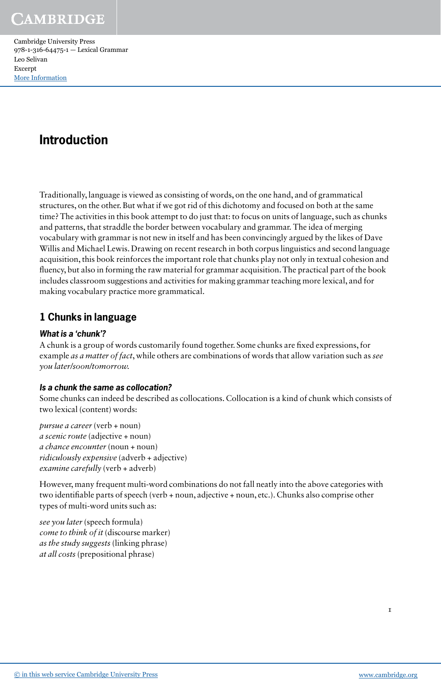Cambridge University Press 978-1-316-64475-1 — Lexical Grammar Leo Selivan Excerpt [More Information](www.cambridge.org/9781316644751)

# **Introduction**

Traditionally, language is viewed as consisting of words, on the one hand, and of grammatical structures, on the other. But what if we got rid of this dichotomy and focused on both at the same time? The activities in this book attempt to do just that: to focus on units of language, such as chunks and patterns, that straddle the border between vocabulary and grammar. The idea of merging vocabulary with grammar is not new in itself and has been convincingly argued by the likes of Dave Willis and Michael Lewis. Drawing on recent research in both corpus linguistics and second language acquisition, this book reinforces the important role that chunks play not only in textual cohesion and fluency, but also in forming the raw material for grammar acquisition. The practical part of the book includes classroom suggestions and activities for making grammar teaching more lexical, and for making vocabulary practice more grammatical.

# **1 Chunks in language**

# **What is a 'chunk'?**

A chunk is a group of words customarily found together. Some chunks are fixed expressions, for example *as a matter of fact*, while others are combinations of words that allow variation such as *see you later/soon/tomorrow.*

# **Is a chunk the same as collocation?**

Some chunks can indeed be described as collocations. Collocation is a kind of chunk which consists of two lexical (content) words:

*pursue a career* (verb + noun) *a scenic route* (adjective + noun) *a chance encounter* (noun + noun) *ridiculously expensive* (adverb + adjective) *examine carefully* (verb + adverb)

However, many frequent multi-word combinations do not fall neatly into the above categories with two identifiable parts of speech (verb + noun, adjective + noun, etc.). Chunks also comprise other types of multi-word units such as:

*see you later* (speech formula) *come to think of it* (discourse marker) *as the study suggests* (linking phrase) *at all costs* (prepositional phrase)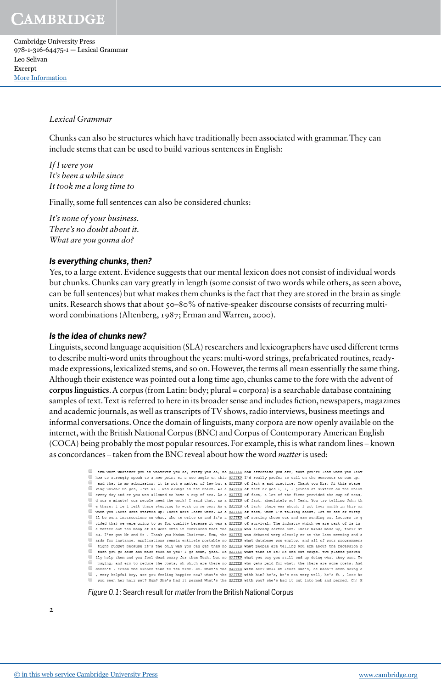Cambridge University Press 978-1-316-64475-1 — Lexical Grammar Leo Selivan Excerpt [More Information](www.cambridge.org/9781316644751)

#### *Lexical Grammar*

Chunks can also be structures which have traditionally been associated with grammar. They can include stems that can be used to build various sentences in English:

*If I were you It's been a while since It took me a long time to* 

Finally, some full sentences can also be considered chunks:

*It's none of your business. There's no doubt about it. What are you gonna do?*

#### **Is everything chunks, then?**

Yes, to a large extent. Evidence suggests that our mental lexicon does not consist of individual words but chunks. Chunks can vary greatly in length (some consist of two words while others, as seen above, can be full sentences) but what makes them chunks is the fact that they are stored in the brain as single units. Research shows that about  $50-80\%$  of native-speaker discourse consists of recurring multiword combinations (Altenberg, 1987; Erman and Warren, 2000).

#### **Is the idea of chunks new?**

Linguists, second language acquisition (SLA) researchers and lexicographers have used different terms to describe multi-word units throughout the years: multi-word strings, prefabricated routines, readymade expressions, lexicalized stems, and so on. However, the terms all mean essentially the same thing. Although their existence was pointed out a long time ago, chunks came to the fore with the advent of **corpus linguistics**. A corpus (from Latin: body; plural = corpora) is a searchable database containing samples of text. Text is referred to here in its broader sense and includes fiction, newspapers, magazines and academic journals, as well as transcripts of TV shows, radio interviews, business meetings and informal conversations. Once the domain of linguists, many corpora are now openly available on the internet, with the British National Corpus (BNC) and Corpus of Contemporary American English (COCA) being probably the most popular resources. For example, this is what random lines – known as concordances – taken from the BNC reveal about how the word *matter* is used:

```
erm when whatever you in whatever you do, every you do, no MATTER how effective you are, that you're That when you leav
Thes to strongly speak to a new point or a new angle on this MATTER I'd really prefer to call on the convenor to sum up.
\overline{\phantom{0}}and that is my submission, it is not a matter of law but a MATTER of fact a and practice. Thank you Mrs. At this stage
in the union? On yes, I've all was always in the union. As a MATTER of fact er yes I, I, I joined at sixteen on the union<br>In every day and er you was allowed to have a cup of tea. As a MATTER of fact, a lot of the firms pr
d our a minute! our people need the work! I said that, as a MATTER of fact, absolutely so! Yeah. You try telling John th<br>I e there. I le I left there starting to work on me own. As a MATTER of fact, there was about, I got 
when you There were started up? There were There were. As a MATTER of fact, when I'm talking about, let me see er fifty<br>Il be sent instructions on what, who to write to and it's a MATTER of sorting those out and erm sendin
cided that we were going to go for quality because it was a MATTER of survival. The industry which we are part of is in
e matter out too many of us went onto it convinced that the MATTER was already sorted out. Their minds made up, their st
U ou. I've got Mr and Mr . Thank you Madam Chairman. Erm, the <u>WATTER</u> was debated very clearly er at the last meeting and s<br>U ards for instance, applications remain entirely portable no <u>WATTER</u> what database you employ, 
ight budget because it's the only way you can get them no MATIER what people are telling you erm about the recession b<br>In then you go down and make food do you? I go down, yeah. No MATIER what time it is? No and eat chips.
If yet a them and you feel dead sorry for them Yeah. but no MATTER what you say you still end up doing what they want Ye<br>In buying, and erm to reduce the costs, wh which are there no MATTER who gets paid for what, the ther
doesn't. >From the dinner time to tea time. No. What's the MATTER with her? Well at least she's, he hadn't been doing e
\blacksquare, very helpful boy, are you feeling happier now? what's the <u>WATTER</u> with him? he's, he's not very well, he's fi
                                                                                                                                                               look ho
you seen her hair yet? Mum? She's had it permed What's the MATTER with you? she's had it cut into bob and permed. Oh! H
```
*Figure 0.1:* Search result for *matter* from the British National Corpus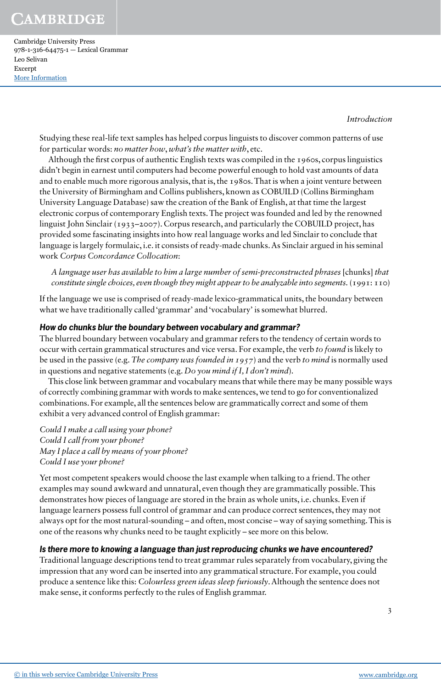Cambridge University Press 978-1-316-64475-1 — Lexical Grammar Leo Selivan Excerpt [More Information](www.cambridge.org/9781316644751)

*Introduction*

Studying these real-life text samples has helped corpus linguists to discover common patterns of use for particular words: *no matter how*, *what's the matter with*, etc.

Although the first corpus of authentic English texts was compiled in the 1960s, corpus linguistics didn't begin in earnest until computers had become powerful enough to hold vast amounts of data and to enable much more rigorous analysis, that is, the 1980s. That is when a joint venture between the University of Birmingham and Collins publishers, known as COBUILD (Collins Birmingham University Language Database) saw the creation of the Bank of English, at that time the largest electronic corpus of contemporary English texts. The project was founded and led by the renowned linguist John Sinclair (1933–2007). Corpus research, and particularly the COBUILD project, has provided some fascinating insights into how real language works and led Sinclair to conclude that language is largely formulaic, i.e. it consists of ready-made chunks. As Sinclair argued in his seminal work *Corpus Concordance Collocation*:

*A language user has available to him a large number of semi-preconstructed phrases* [chunks] *that constitute single choices, even though they might appear to be analyzable into segments.* (1991: 110)

If the language we use is comprised of ready-made lexico-grammatical units, the boundary between what we have traditionally called 'grammar' and 'vocabulary' is somewhat blurred.

# **How do chunks blur the boundary between vocabulary and grammar?**

The blurred boundary between vocabulary and grammar refers to the tendency of certain words to occur with certain grammatical structures and vice versa. For example, the verb *to found* is likely to be used in the passive (e.g. *The company was founded in 1957*) and the verb *to mind* is normally used in questions and negative statements (e.g. *Do you mind if I, I don't mind*)*.*

This close link between grammar and vocabulary means that while there may be many possible ways of correctly combining grammar with words to make sentences, we tend to go for conventionalized combinations. For example, all the sentences below are grammatically correct and some of them exhibit a very advanced control of English grammar:

*Could I make a call using your phone? Could I call from your phone? May I place a call by means of your phone? Could I use your phone?*

Yet most competent speakers would choose the last example when talking to a friend. The other examples may sound awkward and unnatural, even though they are grammatically possible. This demonstrates how pieces of language are stored in the brain as whole units, i.e. chunks. Even if language learners possess full control of grammar and can produce correct sentences, they may not always opt for the most natural-sounding – and often, most concise – way of saying something. This is one of the reasons why chunks need to be taught explicitly – see more on this below.

#### **Is there more to knowing a language than just reproducing chunks we have encountered?**

Traditional language descriptions tend to treat grammar rules separately from vocabulary, giving the impression that any word can be inserted into any grammatical structure. For example, you could produce a sentence like this: *Colourless green ideas sleep furiously*. Although the sentence does not make sense, it conforms perfectly to the rules of English grammar.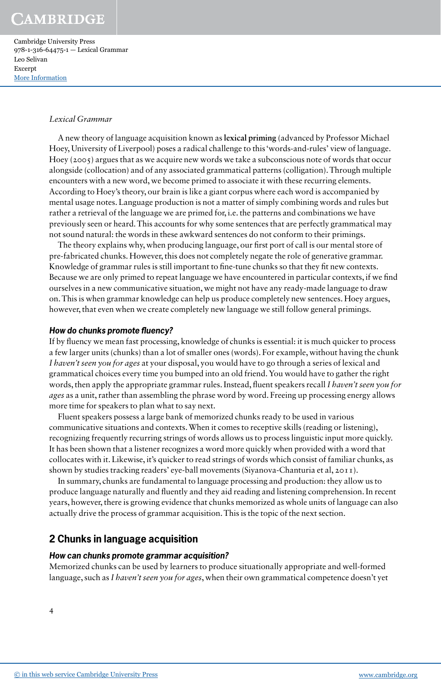Cambridge University Press 978-1-316-64475-1 — Lexical Grammar Leo Selivan Excerpt [More Information](www.cambridge.org/9781316644751)

#### *Lexical Grammar*

A new theory of language acquisition known as **lexical priming** (advanced by Professor Michael Hoey, University of Liverpool) poses a radical challenge to this 'words-and-rules' view of language. Hoey ( $2005$ ) argues that as we acquire new words we take a subconscious note of words that occur alongside (collocation) and of any associated grammatical patterns (colligation). Through multiple encounters with a new word, we become primed to associate it with these recurring elements. According to Hoey's theory, our brain is like a giant corpus where each word is accompanied by mental usage notes. Language production is not a matter of simply combining words and rules but rather a retrieval of the language we are primed for, i.e. the patterns and combinations we have previously seen or heard. This accounts for why some sentences that are perfectly grammatical may not sound natural: the words in these awkward sentences do not conform to their primings.

The theory explains why, when producing language, our first port of call is our mental store of pre-fabricated chunks. However, this does not completely negate the role of generative grammar. Knowledge of grammar rules is still important to fine-tune chunks so that they fit new contexts. Because we are only primed to repeat language we have encountered in particular contexts, if we find ourselves in a new communicative situation, we might not have any ready-made language to draw on. This is when grammar knowledge can help us produce completely new sentences. Hoey argues, however, that even when we create completely new language we still follow general primings.

#### **How do chunks promote fluency?**

If by fluency we mean fast processing, knowledge of chunks is essential: it is much quicker to process a few larger units (chunks) than a lot of smaller ones (words). For example, without having the chunk *I haven't seen you for ages* at your disposal, you would have to go through a series of lexical and grammatical choices every time you bumped into an old friend. You would have to gather the right words, then apply the appropriate grammar rules. Instead, fluent speakers recall *I haven't seen you for ages* as a unit, rather than assembling the phrase word by word. Freeing up processing energy allows more time for speakers to plan what to say next.

Fluent speakers possess a large bank of memorized chunks ready to be used in various communicative situations and contexts. When it comes to receptive skills (reading or listening), recognizing frequently recurring strings of words allows us to process linguistic input more quickly. It has been shown that a listener recognizes a word more quickly when provided with a word that collocates with it. Likewise, it's quicker to read strings of words which consist of familiar chunks, as shown by studies tracking readers' eye-ball movements (Siyanova-Chanturia et al, 2011).

In summary, chunks are fundamental to language processing and production: they allow us to produce language naturally and fluently and they aid reading and listening comprehension. In recent years, however, there is growing evidence that chunks memorized as whole units of language can also actually drive the process of grammar acquisition. This is the topic of the next section.

# **2 Chunks in language acquisition**

#### **How can chunks promote grammar acquisition?**

Memorized chunks can be used by learners to produce situationally appropriate and well-formed language, such as *I haven't seen you for ages*, when their own grammatical competence doesn't yet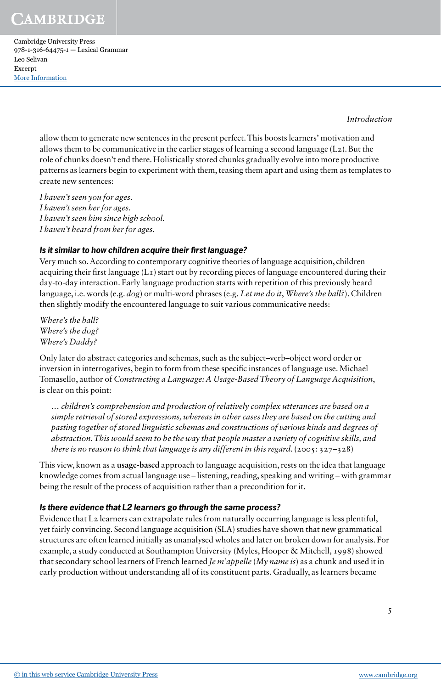Cambridge University Press 978-1-316-64475-1 — Lexical Grammar Leo Selivan Excerpt [More Information](www.cambridge.org/9781316644751)

*Introduction*

allow them to generate new sentences in the present perfect. This boosts learners' motivation and allows them to be communicative in the earlier stages of learning a second language  $(L_2)$ . But the role of chunks doesn't end there. Holistically stored chunks gradually evolve into more productive patterns as learners begin to experiment with them, teasing them apart and using them as templates to create new sentences:

*I haven't seen you for ages. I haven't seen her for ages. I haven't seen him since high school. I haven't heard from her for ages.*

# **Is it similar to how children acquire their first language?**

Very much so. According to contemporary cognitive theories of language acquisition, children acquiring their first language (L1) start out by recording pieces of language encountered during their day-to-day interaction. Early language production starts with repetition of this previously heard language, i.e. words (e.g. *dog*) or multi-word phrases (e.g. *Let me do it*, *Where's the ball?*). Children then slightly modify the encountered language to suit various communicative needs:

*Where's the ball? Where's the dog? Where's Daddy?*

Only later do abstract categories and schemas, such as the subject–verb–object word order or inversion in interrogatives, begin to form from these specific instances of language use. Michael Tomasello, author of *Constructing a Language: A Usage-Based Theory of Language Acquisition*, is clear on this point:

*… children's comprehension and production of relatively complex utterances are based on a simple retrieval of stored expressions, whereas in other cases they are based on the cutting and pasting together of stored linguistic schemas and constructions of various kinds and degrees of abstraction. This would seem to be the way that people master a variety of cognitive skills, and there is no reason to think that language is any different in this regard.* (2005: 327–328)

This view, known as a **usage-based** approach to language acquisition, rests on the idea that language knowledge comes from actual language use – listening, reading, speaking and writing – with grammar being the result of the process of acquisition rather than a precondition for it.

# **Is there evidence that L2 learners go through the same process?**

Evidence that L2 learners can extrapolate rules from naturally occurring language is less plentiful, yet fairly convincing. Second language acquisition (SLA) studies have shown that new grammatical structures are often learned initially as unanalysed wholes and later on broken down for analysis. For example, a study conducted at Southampton University (Myles, Hooper & Mitchell, 1998) showed that secondary school learners of French learned *Je m'appelle* (*My name is*) as a chunk and used it in early production without understanding all of its constituent parts. Gradually, as learners became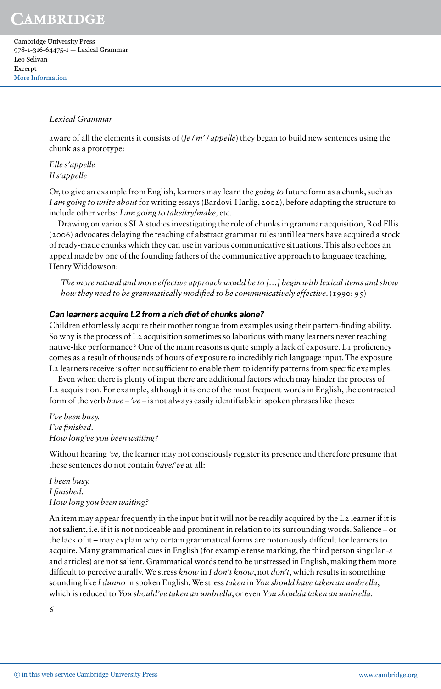Cambridge University Press 978-1-316-64475-1 — Lexical Grammar Leo Selivan Excerpt [More Information](www.cambridge.org/9781316644751)

#### *Lexical Grammar*

aware of all the elements it consists of (*Je / m' / appelle*) they began to build new sentences using the chunk as a prototype:

*Elle s'appelle Il s'appelle*

Or, to give an example from English, learners may learn the *going to* future form as a chunk, such as *I am going to write about* for writing essays (Bardovi-Harlig, 2002), before adapting the structure to include other verbs: *I am going to take/try/make,* etc.

Drawing on various SLA studies investigating the role of chunks in grammar acquisition, Rod Ellis (2006) advocates delaying the teaching of abstract grammar rules until learners have acquired a stock of ready-made chunks which they can use in various communicative situations. This also echoes an appeal made by one of the founding fathers of the communicative approach to language teaching, Henry Widdowson:

*The more natural and more effective approach would be to […] begin with lexical items and show how they need to be grammatically modified to be communicatively effective*. (1990: 95)

# **Can learners acquire L2 from a rich diet of chunks alone?**

Children effortlessly acquire their mother tongue from examples using their pattern-finding ability. So why is the process of L<sub>2</sub> acquisition sometimes so laborious with many learners never reaching native-like performance? One of the main reasons is quite simply a lack of exposure. L<sub>I</sub> proficiency comes as a result of thousands of hours of exposure to incredibly rich language input. The exposure L2 learners receive is often not sufficient to enable them to identify patterns from specific examples.

Even when there is plenty of input there are additional factors which may hinder the process of L2 acquisition. For example, although it is one of the most frequent words in English, the contracted form of the verb *have* – *'ve* – is not always easily identifiable in spoken phrases like these:

*I've been busy. I've finished. How long've you been waiting?*

Without hearing *'ve,* the learner may not consciously register its presence and therefore presume that these sentences do not contain *have/'ve* at all:

*I been busy. I finished. How long you been waiting?*

An item may appear frequently in the input but it will not be readily acquired by the L2 learner if it is not **salient**, i.e. if it is not noticeable and prominent in relation to its surrounding words. Salience – or the lack of it – may explain why certain grammatical forms are notoriously difficult for learners to acquire. Many grammatical cues in English (for example tense marking, the third person singular -*s* and articles) are not salient. Grammatical words tend to be unstressed in English, making them more difficult to perceive aurally. We stress *know* in *I don't know*, not *don't*, which results in something sounding like *I dunno* in spoken English*.* We stress *taken* in *You should have taken an umbrella*, which is reduced to *You should've taken an umbrella*, or even *You shoulda taken an umbrella*.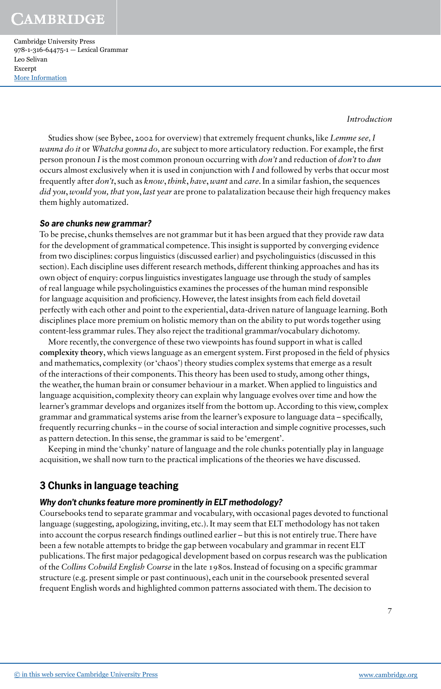Cambridge University Press 978-1-316-64475-1 — Lexical Grammar Leo Selivan Excerpt [More Information](www.cambridge.org/9781316644751)

*Introduction*

Studies show (see Bybee, 2002 for overview) that extremely frequent chunks, like *Lemme see, I wanna do it* or *Whatcha gonna do,* are subject to more articulatory reduction. For example, the first person pronoun *I* is the most common pronoun occurring with *don't* and reduction of *don't* to *dun* occurs almost exclusively when it is used in conjunction with *I* and followed by verbs that occur most frequently after *don't*, such as *know*, *think*, *have*, *want* and *care*. In a similar fashion, the sequences *did you*, *would you, that you*, *last year* are prone to palatalization because their high frequency makes them highly automatized.

## **So are chunks new grammar?**

To be precise, chunks themselves are not grammar but it has been argued that they provide raw data for the development of grammatical competence. This insight is supported by converging evidence from two disciplines: corpus linguistics (discussed earlier) and psycholinguistics (discussed in this section). Each discipline uses different research methods, different thinking approaches and has its own object of enquiry: corpus linguistics investigates language use through the study of samples of real language while psycholinguistics examines the processes of the human mind responsible for language acquisition and proficiency. However, the latest insights from each field dovetail perfectly with each other and point to the experiential, data-driven nature of language learning. Both disciplines place more premium on holistic memory than on the ability to put words together using content-less grammar rules. They also reject the traditional grammar/vocabulary dichotomy.

More recently, the convergence of these two viewpoints has found support in what is called **complexity theory**, which views language as an emergent system. First proposed in the field of physics and mathematics, complexity (or 'chaos') theory studies complex systems that emerge as a result of the interactions of their components. This theory has been used to study, among other things, the weather, the human brain or consumer behaviour in a market. When applied to linguistics and language acquisition, complexity theory can explain why language evolves over time and how the learner's grammar develops and organizes itself from the bottom up. According to this view, complex grammar and grammatical systems arise from the learner's exposure to language data – specifically, frequently recurring chunks – in the course of social interaction and simple cognitive processes, such as pattern detection. In this sense, the grammar is said to be 'emergent'.

Keeping in mind the 'chunky' nature of language and the role chunks potentially play in language acquisition, we shall now turn to the practical implications of the theories we have discussed.

# **3 Chunks in language teaching**

# **Why don't chunks feature more prominently in ELT methodology?**

Coursebooks tend to separate grammar and vocabulary, with occasional pages devoted to functional language (suggesting, apologizing, inviting, etc.). It may seem that ELT methodology has not taken into account the corpus research findings outlined earlier – but this is not entirely true. There have been a few notable attempts to bridge the gap between vocabulary and grammar in recent ELT publications. The first major pedagogical development based on corpus research was the publication of the *Collins Cobuild English Course* in the late 1980s. Instead of focusing on a specific grammar structure (e.g. present simple or past continuous), each unit in the coursebook presented several frequent English words and highlighted common patterns associated with them. The decision to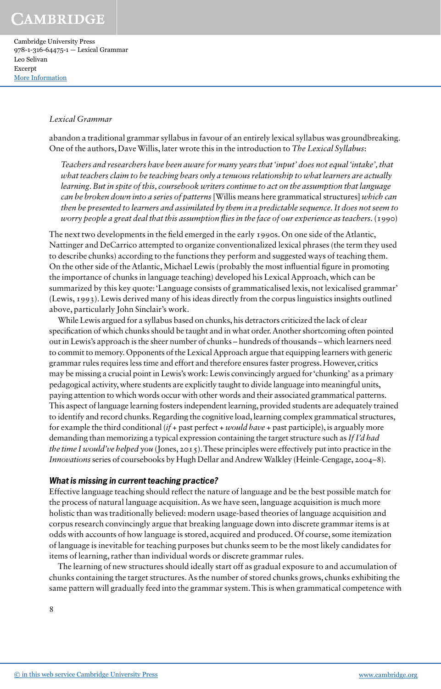Cambridge University Press 978-1-316-64475-1 — Lexical Grammar Leo Selivan Excerpt [More Information](www.cambridge.org/9781316644751)

#### *Lexical Grammar*

abandon a traditional grammar syllabus in favour of an entirely lexical syllabus was groundbreaking. One of the authors, Dave Willis, later wrote this in the introduction to *The Lexical Syllabus*:

*Teachers and researchers have been aware for many years that 'input' does not equal 'intake', that what teachers claim to be teaching bears only a tenuous relationship to what learners are actually learning. But in spite of this, coursebook writers continue to act on the assumption that language can be broken down into a series of patterns* [Willis means here grammatical structures] *which can then be presented to learners and assimilated by them in a predictable sequence. It does not seem to worry people a great deal that this assumption flies in the face of our experience as teachers.* (1990)

The next two developments in the field emerged in the early 1990s. On one side of the Atlantic, Nattinger and DeCarrico attempted to organize conventionalized lexical phrases (the term they used to describe chunks) according to the functions they perform and suggested ways of teaching them. On the other side of the Atlantic, Michael Lewis (probably the most influential figure in promoting the importance of chunks in language teaching) developed his Lexical Approach, which can be summarized by this key quote: 'Language consists of grammaticalised lexis, not lexicalised grammar' (Lewis, 1993). Lewis derived many of his ideas directly from the corpus linguistics insights outlined above, particularly John Sinclair's work.

While Lewis argued for a syllabus based on chunks, his detractors criticized the lack of clear specification of which chunks should be taught and in what order. Another shortcoming often pointed out in Lewis's approach is the sheer number of chunks – hundreds of thousands – which learners need to commit to memory. Opponents of the Lexical Approach argue that equipping learners with generic grammar rules requires less time and effort and therefore ensures faster progress. However, critics may be missing a crucial point in Lewis's work: Lewis convincingly argued for 'chunking' as a primary pedagogical activity, where students are explicitly taught to divide language into meaningful units, paying attention to which words occur with other words and their associated grammatical patterns. This aspect of language learning fosters independent learning, provided students are adequately trained to identify and record chunks. Regarding the cognitive load, learning complex grammatical structures, for example the third conditional (*if* + past perfect + *would have* + past participle), is arguably more demanding than memorizing a typical expression containing the target structure such as *If I'd had the time I would've helped you* (Jones, 2015). These principles were effectively put into practice in the *Innovations* series of coursebooks by Hugh Dellar and Andrew Walkley (Heinle-Cengage, 2004–8).

#### **What is missing in current teaching practice?**

Effective language teaching should reflect the nature of language and be the best possible match for the process of natural language acquisition. As we have seen, language acquisition is much more holistic than was traditionally believed: modern usage-based theories of language acquisition and corpus research convincingly argue that breaking language down into discrete grammar items is at odds with accounts of how language is stored, acquired and produced. Of course, some itemization of language is inevitable for teaching purposes but chunks seem to be the most likely candidates for items of learning, rather than individual words or discrete grammar rules.

The learning of new structures should ideally start off as gradual exposure to and accumulation of chunks containing the target structures. As the number of stored chunks grows, chunks exhibiting the same pattern will gradually feed into the grammar system. This is when grammatical competence with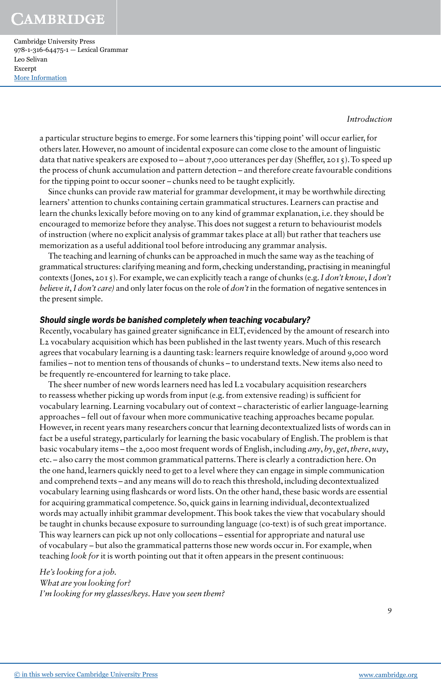Cambridge University Press 978-1-316-64475-1 — Lexical Grammar Leo Selivan Excerpt [More Information](www.cambridge.org/9781316644751)

*Introduction*

a particular structure begins to emerge. For some learners this 'tipping point' will occur earlier, for others later. However, no amount of incidental exposure can come close to the amount of linguistic data that native speakers are exposed to – about 7,000 utterances per day (Sheffler, 2015). To speed up the process of chunk accumulation and pattern detection – and therefore create favourable conditions for the tipping point to occur sooner – chunks need to be taught explicitly.

Since chunks can provide raw material for grammar development, it may be worthwhile directing learners' attention to chunks containing certain grammatical structures. Learners can practise and learn the chunks lexically before moving on to any kind of grammar explanation, i.e. they should be encouraged to memorize before they analyse. This does not suggest a return to behaviourist models of instruction (where no explicit analysis of grammar takes place at all) but rather that teachers use memorization as a useful additional tool before introducing any grammar analysis.

The teaching and learning of chunks can be approached in much the same way as the teaching of grammatical structures: clarifying meaning and form, checking understanding, practising in meaningful contexts (Jones, 2015). For example, we can explicitly teach a range of chunks (e.g. *I don't know*, *I don't believe it*, *I don't care)* and only later focus on the role of *don't* in the formation of negative sentences in the present simple.

## **Should single words be banished completely when teaching vocabulary?**

Recently, vocabulary has gained greater significance in ELT, evidenced by the amount of research into L2 vocabulary acquisition which has been published in the last twenty years. Much of this research agrees that vocabulary learning is a daunting task: learners require knowledge of around 9,000 word families – not to mention tens of thousands of chunks – to understand texts. New items also need to be frequently re-encountered for learning to take place.

The sheer number of new words learners need has led L2 vocabulary acquisition researchers to reassess whether picking up words from input (e.g. from extensive reading) is sufficient for vocabulary learning. Learning vocabulary out of context – characteristic of earlier language-learning approaches – fell out of favour when more communicative teaching approaches became popular. However, in recent years many researchers concur that learning decontextualized lists of words can in fact be a useful strategy, particularly for learning the basic vocabulary of English. The problem is that basic vocabulary items – the 2,000 most frequent words of English, including *any*, *by*, *get*, *there*, *way*, etc. – also carry the most common grammatical patterns. There is clearly a contradiction here. On the one hand, learners quickly need to get to a level where they can engage in simple communication and comprehend texts – and any means will do to reach this threshold, including decontextualized vocabulary learning using flashcards or word lists. On the other hand, these basic words are essential for acquiring grammatical competence. So, quick gains in learning individual, decontextualized words may actually inhibit grammar development. This book takes the view that vocabulary should be taught in chunks because exposure to surrounding language (co-text) is of such great importance. This way learners can pick up not only collocations – essential for appropriate and natural use of vocabulary – but also the grammatical patterns those new words occur in. For example, when teaching *look for* it is worth pointing out that it often appears in the present continuous:

*He's looking for a job. What are you looking for? I'm looking for my glasses/keys. Have you seen them?*